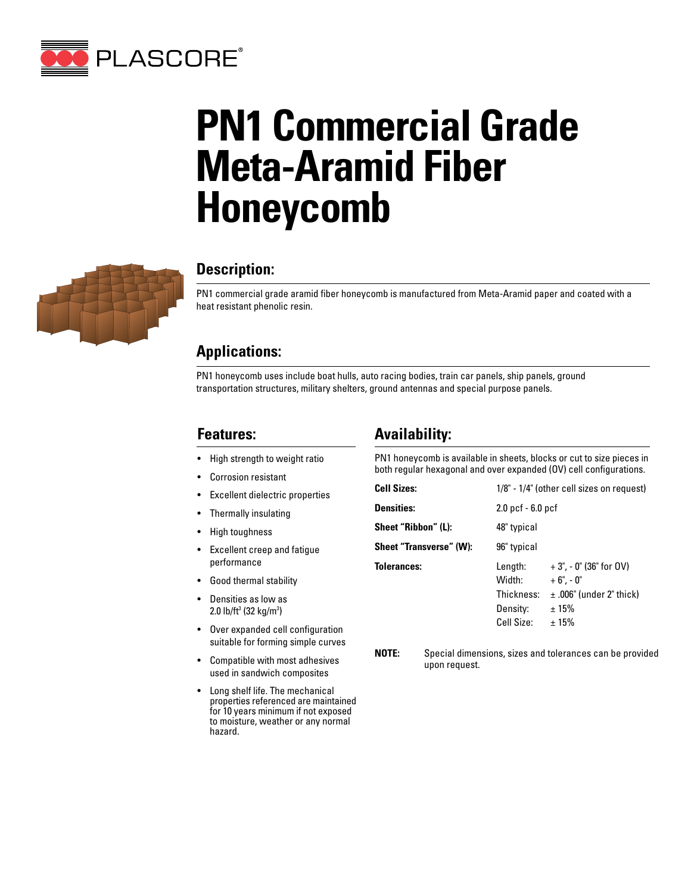

# **PN1 Commercial Grade Meta-Aramid Fiber Honeycomb**



## **Description:**

PN1 commercial grade aramid fiber honeycomb is manufactured from Meta-Aramid paper and coated with a heat resistant phenolic resin.

## **Applications:**

PN1 honeycomb uses include boat hulls, auto racing bodies, train car panels, ship panels, ground transportation structures, military shelters, ground antennas and special purpose panels.

### **Features:**

- High strength to weight ratio
- Corrosion resistant
- Excellent dielectric properties
- Thermally insulating
- High toughness
- Excellent creep and fatigue performance
- Good thermal stability
- Densities as low as 2.0 lb/ft<sup>3</sup> (32 kg/m<sup>3</sup>)
- Over expanded cell configuration suitable for forming simple curves
- Compatible with most adhesives used in sandwich composites
- Long shelf life. The mechanical properties referenced are maintained for 10 years minimum if not exposed to moisture, weather or any normal hazard.

## **Availability:**

PN1 honeycomb is available in sheets, blocks or cut to size pieces in both regular hexagonal and over expanded (OV) cell configurations.

| <b>Cell Sizes:</b>      | 1/8" - 1/4" (other cell sizes on request)                 |                                                                                         |  |  |  |  |
|-------------------------|-----------------------------------------------------------|-----------------------------------------------------------------------------------------|--|--|--|--|
| <b>Densities:</b>       | $2.0$ pcf $-6.0$ pcf                                      |                                                                                         |  |  |  |  |
| Sheet "Ribbon" (L):     | 48" typical                                               |                                                                                         |  |  |  |  |
| Sheet "Transverse" (W): | 96" typical                                               |                                                                                         |  |  |  |  |
| <b>Tolerances:</b>      | Length:<br>Width:<br>Thickness:<br>Density:<br>Cell Size: | $+3$ ", - 0" (36" for OV)<br>$+6" -0"$<br>$\pm$ .006" (under 2" thick)<br>±15%<br>± 15% |  |  |  |  |

**NOTE:** Special dimensions, sizes and tolerances can be provided upon request.